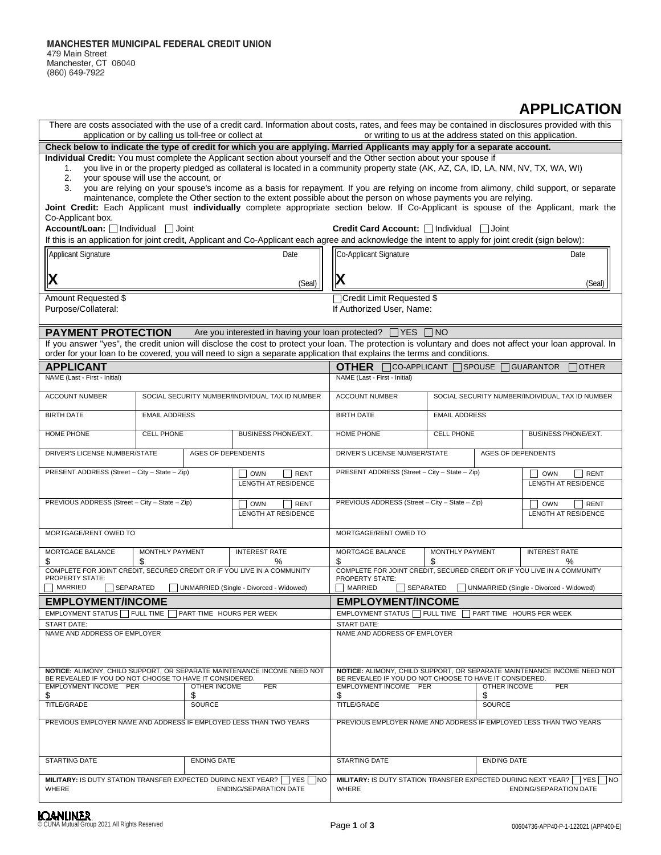## **APPLICATION**

| There are costs associated with the use of a credit card. Information about costs, rates, and fees may be contained in disclosures provided with this<br>application or by calling us toll-free or collect at<br>or writing to us at the address stated on this application.                                                                                                                                                                                                                                                                                                           |                                                     |                    |                                                                                                                                                                                                                                                                                      |                                                                                                                               |                                                                                                                               |                           |                                                 |  |  |  |
|----------------------------------------------------------------------------------------------------------------------------------------------------------------------------------------------------------------------------------------------------------------------------------------------------------------------------------------------------------------------------------------------------------------------------------------------------------------------------------------------------------------------------------------------------------------------------------------|-----------------------------------------------------|--------------------|--------------------------------------------------------------------------------------------------------------------------------------------------------------------------------------------------------------------------------------------------------------------------------------|-------------------------------------------------------------------------------------------------------------------------------|-------------------------------------------------------------------------------------------------------------------------------|---------------------------|-------------------------------------------------|--|--|--|
| Check below to indicate the type of credit for which you are applying. Married Applicants may apply for a separate account.                                                                                                                                                                                                                                                                                                                                                                                                                                                            |                                                     |                    |                                                                                                                                                                                                                                                                                      |                                                                                                                               |                                                                                                                               |                           |                                                 |  |  |  |
| Individual Credit: You must complete the Applicant section about yourself and the Other section about your spouse if<br>you live in or the property pledged as collateral is located in a community property state (AK, AZ, CA, ID, LA, NM, NV, TX, WA, WI)<br>1.<br>2.<br>your spouse will use the account, or<br>you are relying on your spouse's income as a basis for repayment. If you are relying on income from alimony, child support, or separate<br>3.<br>maintenance, complete the Other section to the extent possible about the person on whose payments you are relying. |                                                     |                    |                                                                                                                                                                                                                                                                                      |                                                                                                                               |                                                                                                                               |                           |                                                 |  |  |  |
| Co-Applicant box.                                                                                                                                                                                                                                                                                                                                                                                                                                                                                                                                                                      |                                                     |                    | Joint Credit: Each Applicant must individually complete appropriate section below. If Co-Applicant is spouse of the Applicant, mark the                                                                                                                                              |                                                                                                                               |                                                                                                                               |                           |                                                 |  |  |  |
| Account/Loan: Individual<br>Credit Card Account: Individual Joint<br>  Joint<br>If this is an application for joint credit, Applicant and Co-Applicant each agree and acknowledge the intent to apply for joint credit (sign below):                                                                                                                                                                                                                                                                                                                                                   |                                                     |                    |                                                                                                                                                                                                                                                                                      |                                                                                                                               |                                                                                                                               |                           |                                                 |  |  |  |
|                                                                                                                                                                                                                                                                                                                                                                                                                                                                                                                                                                                        |                                                     |                    |                                                                                                                                                                                                                                                                                      |                                                                                                                               |                                                                                                                               |                           |                                                 |  |  |  |
| Applicant Signature                                                                                                                                                                                                                                                                                                                                                                                                                                                                                                                                                                    |                                                     |                    | Date                                                                                                                                                                                                                                                                                 | Co-Applicant Signature                                                                                                        |                                                                                                                               |                           | Date                                            |  |  |  |
| X                                                                                                                                                                                                                                                                                                                                                                                                                                                                                                                                                                                      |                                                     |                    | (Seal)                                                                                                                                                                                                                                                                               | (Seal)                                                                                                                        |                                                                                                                               |                           |                                                 |  |  |  |
| Amount Requested \$<br>Purpose/Collateral:                                                                                                                                                                                                                                                                                                                                                                                                                                                                                                                                             |                                                     |                    |                                                                                                                                                                                                                                                                                      | Credit Limit Requested \$<br>If Authorized User, Name:                                                                        |                                                                                                                               |                           |                                                 |  |  |  |
| <b>PAYMENT PROTECTION</b>                                                                                                                                                                                                                                                                                                                                                                                                                                                                                                                                                              |                                                     |                    | Are you interested in having your loan protected? □ YES □ NO                                                                                                                                                                                                                         |                                                                                                                               |                                                                                                                               |                           |                                                 |  |  |  |
|                                                                                                                                                                                                                                                                                                                                                                                                                                                                                                                                                                                        |                                                     |                    | If you answer "yes", the credit union will disclose the cost to protect your loan. The protection is voluntary and does not affect your loan approval. In<br>order for your loan to be covered, you will need to sign a separate application that explains the terms and conditions. |                                                                                                                               |                                                                                                                               |                           |                                                 |  |  |  |
| <b>APPLICANT</b>                                                                                                                                                                                                                                                                                                                                                                                                                                                                                                                                                                       |                                                     |                    |                                                                                                                                                                                                                                                                                      | <b>OTHER</b>                                                                                                                  | $\Box$ CO-APPLICANT $\Box$ SPOUSE $\Box$ GUARANTOR                                                                            |                           | ∏OTHER                                          |  |  |  |
| NAME (Last - First - Initial)                                                                                                                                                                                                                                                                                                                                                                                                                                                                                                                                                          |                                                     |                    |                                                                                                                                                                                                                                                                                      | NAME (Last - First - Initial)                                                                                                 |                                                                                                                               |                           |                                                 |  |  |  |
| <b>ACCOUNT NUMBER</b>                                                                                                                                                                                                                                                                                                                                                                                                                                                                                                                                                                  |                                                     |                    | SOCIAL SECURITY NUMBER/INDIVIDUAL TAX ID NUMBER                                                                                                                                                                                                                                      | ACCOUNT NUMBER                                                                                                                |                                                                                                                               |                           | SOCIAL SECURITY NUMBER/INDIVIDUAL TAX ID NUMBER |  |  |  |
| <b>BIRTH DATE</b>                                                                                                                                                                                                                                                                                                                                                                                                                                                                                                                                                                      | <b>EMAIL ADDRESS</b>                                |                    |                                                                                                                                                                                                                                                                                      | <b>BIRTH DATE</b>                                                                                                             | <b>EMAIL ADDRESS</b>                                                                                                          |                           |                                                 |  |  |  |
| HOME PHONE                                                                                                                                                                                                                                                                                                                                                                                                                                                                                                                                                                             | <b>CELL PHONE</b>                                   |                    | <b>BUSINESS PHONE/EXT.</b>                                                                                                                                                                                                                                                           | HOME PHONE                                                                                                                    | <b>CELL PHONE</b>                                                                                                             |                           | BUSINESS PHONE/EXT.                             |  |  |  |
| DRIVER'S LICENSE NUMBER/STATE<br><b>AGES OF DEPENDENTS</b>                                                                                                                                                                                                                                                                                                                                                                                                                                                                                                                             |                                                     |                    |                                                                                                                                                                                                                                                                                      | DRIVER'S LICENSE NUMBER/STATE                                                                                                 |                                                                                                                               | <b>AGES OF DEPENDENTS</b> |                                                 |  |  |  |
| PRESENT ADDRESS (Street - City - State - Zip)<br><b>RENT</b><br><b>OWN</b><br>LENGTH AT RESIDENCE                                                                                                                                                                                                                                                                                                                                                                                                                                                                                      |                                                     |                    |                                                                                                                                                                                                                                                                                      | PRESENT ADDRESS (Street - City - State - Zip)<br><b>RENT</b><br><b>OWN</b><br>LENGTH AT RESIDENCE                             |                                                                                                                               |                           |                                                 |  |  |  |
| PREVIOUS ADDRESS (Street - City - State - Zip)<br><b>OWN</b><br><b>RENT</b>                                                                                                                                                                                                                                                                                                                                                                                                                                                                                                            |                                                     |                    | PREVIOUS ADDRESS (Street - City - State - Zip)<br><b>OWN</b><br><b>RENT</b><br>LENGTH AT RESIDENCE                                                                                                                                                                                   |                                                                                                                               |                                                                                                                               |                           |                                                 |  |  |  |
| <b>LENGTH AT RESIDENCE</b><br>MORTGAGE/RENT OWED TO                                                                                                                                                                                                                                                                                                                                                                                                                                                                                                                                    |                                                     |                    | MORTGAGE/RENT OWED TO                                                                                                                                                                                                                                                                |                                                                                                                               |                                                                                                                               |                           |                                                 |  |  |  |
|                                                                                                                                                                                                                                                                                                                                                                                                                                                                                                                                                                                        |                                                     |                    |                                                                                                                                                                                                                                                                                      |                                                                                                                               |                                                                                                                               |                           |                                                 |  |  |  |
| MORTGAGE BALANCE<br>\$                                                                                                                                                                                                                                                                                                                                                                                                                                                                                                                                                                 | <b>MONTHLY PAYMENT</b><br><b>INTEREST RATE</b><br>% |                    |                                                                                                                                                                                                                                                                                      | MORTGAGE BALANCE<br>\$                                                                                                        | MONTHLY PAYMENT<br><b>INTEREST RATE</b><br>\$<br>℅<br>COMPLETE FOR JOINT CREDIT, SECURED CREDIT OR IF YOU LIVE IN A COMMUNITY |                           |                                                 |  |  |  |
| COMPLETE FOR JOINT CREDIT, SECURED CREDIT OR IF YOU LIVE IN A COMMUNITY<br><b>PROPERTY STATE:</b>                                                                                                                                                                                                                                                                                                                                                                                                                                                                                      |                                                     |                    |                                                                                                                                                                                                                                                                                      | PROPERTY STATE:                                                                                                               |                                                                                                                               |                           |                                                 |  |  |  |
| MARRIED<br>SEPARATED                                                                                                                                                                                                                                                                                                                                                                                                                                                                                                                                                                   |                                                     |                    | UNMARRIED (Single - Divorced - Widowed)                                                                                                                                                                                                                                              | SEPARATED<br>MARRIED                                                                                                          |                                                                                                                               |                           | UNMARRIED (Single - Divorced - Widowed)         |  |  |  |
| <b>EMPLOYMENT/INCOME</b>                                                                                                                                                                                                                                                                                                                                                                                                                                                                                                                                                               |                                                     |                    |                                                                                                                                                                                                                                                                                      | <b>EMPLOYMENT/INCOME</b>                                                                                                      |                                                                                                                               |                           |                                                 |  |  |  |
| EMPLOYMENT STATUS   FULL TIME<br>PART TIME HOURS PER WEEK                                                                                                                                                                                                                                                                                                                                                                                                                                                                                                                              |                                                     |                    |                                                                                                                                                                                                                                                                                      | EMPLOYMENT STATUS   FULL TIME<br>PART TIME HOURS PER WEEK                                                                     |                                                                                                                               |                           |                                                 |  |  |  |
| <b>START DATE:</b>                                                                                                                                                                                                                                                                                                                                                                                                                                                                                                                                                                     |                                                     |                    |                                                                                                                                                                                                                                                                                      | <b>START DATE:</b><br>NAME AND ADDRESS OF EMPLOYER                                                                            |                                                                                                                               |                           |                                                 |  |  |  |
| NAME AND ADDRESS OF EMPLOYER                                                                                                                                                                                                                                                                                                                                                                                                                                                                                                                                                           |                                                     |                    |                                                                                                                                                                                                                                                                                      |                                                                                                                               |                                                                                                                               |                           |                                                 |  |  |  |
| NOTICE: ALIMONY, CHILD SUPPORT, OR SEPARATE MAINTENANCE INCOME NEED NOT<br>BE REVEALED IF YOU DO NOT CHOOSE TO HAVE IT CONSIDERED.                                                                                                                                                                                                                                                                                                                                                                                                                                                     |                                                     |                    | NOTICE: ALIMONY, CHILD SUPPORT, OR SEPARATE MAINTENANCE INCOME NEED NOT<br>BE REVEALED IF YOU DO NOT CHOOSE TO HAVE IT CONSIDERED.                                                                                                                                                   |                                                                                                                               |                                                                                                                               |                           |                                                 |  |  |  |
| EMPLOYMENT INCOME PER<br><b>OTHER INCOME</b><br><b>PER</b><br>\$<br>\$                                                                                                                                                                                                                                                                                                                                                                                                                                                                                                                 |                                                     |                    |                                                                                                                                                                                                                                                                                      | EMPLOYMENT INCOME PER<br><b>OTHER INCOME</b><br><b>PER</b><br>\$<br>\$                                                        |                                                                                                                               |                           |                                                 |  |  |  |
| <b>TITLE/GRADE</b><br><b>SOURCE</b>                                                                                                                                                                                                                                                                                                                                                                                                                                                                                                                                                    |                                                     |                    |                                                                                                                                                                                                                                                                                      | <b>TITLE/GRADE</b><br><b>SOURCE</b>                                                                                           |                                                                                                                               |                           |                                                 |  |  |  |
| PREVIOUS EMPLOYER NAME AND ADDRESS IF EMPLOYED LESS THAN TWO YEARS                                                                                                                                                                                                                                                                                                                                                                                                                                                                                                                     |                                                     |                    |                                                                                                                                                                                                                                                                                      | PREVIOUS EMPLOYER NAME AND ADDRESS IF EMPLOYED LESS THAN TWO YEARS                                                            |                                                                                                                               |                           |                                                 |  |  |  |
| <b>STARTING DATE</b>                                                                                                                                                                                                                                                                                                                                                                                                                                                                                                                                                                   |                                                     | <b>ENDING DATE</b> |                                                                                                                                                                                                                                                                                      | <b>STARTING DATE</b>                                                                                                          | <b>ENDING DATE</b>                                                                                                            |                           |                                                 |  |  |  |
| MILITARY: IS DUTY STATION TRANSFER EXPECTED DURING NEXT YEAR?     YES     NO<br>WHERE<br><b>ENDING/SEPARATION DATE</b>                                                                                                                                                                                                                                                                                                                                                                                                                                                                 |                                                     |                    |                                                                                                                                                                                                                                                                                      | MILITARY: IS DUTY STATION TRANSFER EXPECTED DURING NEXT YEAR?     YES     NO<br><b>WHERE</b><br><b>ENDING/SEPARATION DATE</b> |                                                                                                                               |                           |                                                 |  |  |  |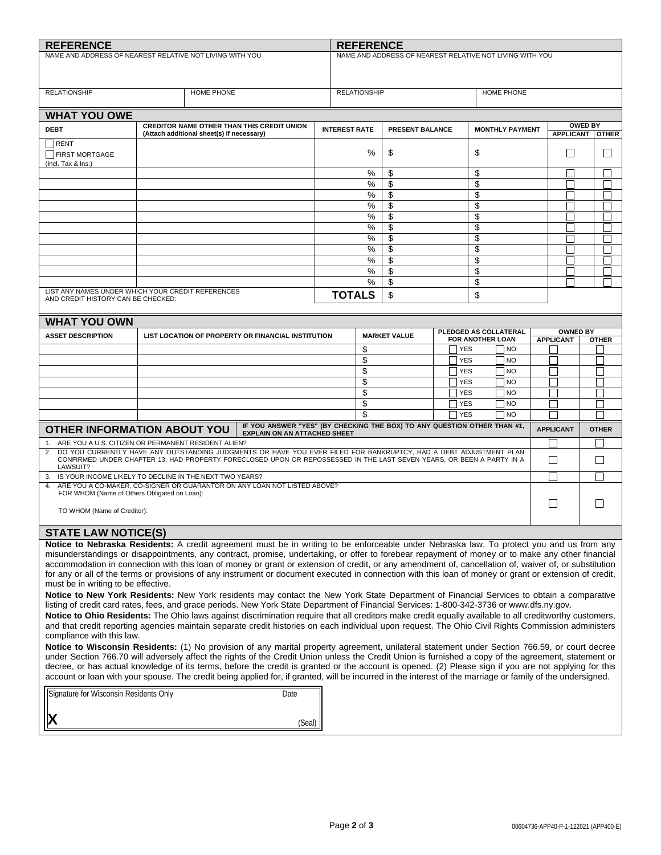| <b>REFERENCE</b><br><b>REFERENCE</b>                                                                                                                                                                                                                                                                          |                                                                                                                                                                                                                                                                                              |                                          |                                |                 |                                                          |          |                          |                        |    |                |  |                   |  |              |
|---------------------------------------------------------------------------------------------------------------------------------------------------------------------------------------------------------------------------------------------------------------------------------------------------------------|----------------------------------------------------------------------------------------------------------------------------------------------------------------------------------------------------------------------------------------------------------------------------------------------|------------------------------------------|--------------------------------|-----------------|----------------------------------------------------------|----------|--------------------------|------------------------|----|----------------|--|-------------------|--|--------------|
|                                                                                                                                                                                                                                                                                                               | NAME AND ADDRESS OF NEAREST RELATIVE NOT LIVING WITH YOU                                                                                                                                                                                                                                     |                                          |                                |                 | NAME AND ADDRESS OF NEAREST RELATIVE NOT LIVING WITH YOU |          |                          |                        |    |                |  |                   |  |              |
|                                                                                                                                                                                                                                                                                                               |                                                                                                                                                                                                                                                                                              |                                          |                                |                 |                                                          |          |                          |                        |    |                |  |                   |  |              |
| HOME PHONE                                                                                                                                                                                                                                                                                                    |                                                                                                                                                                                                                                                                                              |                                          |                                |                 |                                                          |          |                          |                        |    |                |  |                   |  |              |
| <b>RELATIONSHIP</b>                                                                                                                                                                                                                                                                                           |                                                                                                                                                                                                                                                                                              | <b>RELATIONSHIP</b><br><b>HOME PHONE</b> |                                |                 |                                                          |          |                          |                        |    |                |  |                   |  |              |
| <b>WHAT YOU OWE</b>                                                                                                                                                                                                                                                                                           |                                                                                                                                                                                                                                                                                              |                                          |                                |                 |                                                          |          |                          |                        |    |                |  |                   |  |              |
| <b>DEBT</b>                                                                                                                                                                                                                                                                                                   |                                                                                                                                                                                                                                                                                              | <b>INTEREST RATE</b>                     |                                | PRESENT BALANCE |                                                          |          |                          |                        |    |                |  | <b>OWED BY</b>    |  |              |
| RENT                                                                                                                                                                                                                                                                                                          | (Attach additional sheet(s) if necessary)                                                                                                                                                                                                                                                    |                                          |                                |                 |                                                          |          |                          | <b>MONTHLY PAYMENT</b> |    |                |  | APPLICANT   OTHER |  |              |
| FIRST MORTGAGE                                                                                                                                                                                                                                                                                                |                                                                                                                                                                                                                                                                                              |                                          | %                              | \$              |                                                          |          | \$                       |                        |    | ΙI             |  | $\mathbf{I}$      |  |              |
| (Incl. Tax & Ins.)                                                                                                                                                                                                                                                                                            |                                                                                                                                                                                                                                                                                              |                                          |                                |                 |                                                          |          |                          |                        |    |                |  |                   |  |              |
|                                                                                                                                                                                                                                                                                                               |                                                                                                                                                                                                                                                                                              |                                          | \$<br>℅<br>%<br>\$             |                 |                                                          | \$<br>\$ |                          |                        |    |                |  |                   |  |              |
|                                                                                                                                                                                                                                                                                                               |                                                                                                                                                                                                                                                                                              |                                          | %                              |                 | \$                                                       |          |                          | \$                     |    |                |  |                   |  |              |
|                                                                                                                                                                                                                                                                                                               |                                                                                                                                                                                                                                                                                              |                                          | %                              |                 | \$                                                       |          |                          | \$                     |    |                |  |                   |  |              |
|                                                                                                                                                                                                                                                                                                               |                                                                                                                                                                                                                                                                                              |                                          | %                              |                 | \$                                                       |          |                          |                        | \$ |                |  |                   |  |              |
|                                                                                                                                                                                                                                                                                                               |                                                                                                                                                                                                                                                                                              |                                          | %<br>%                         |                 | \$<br>\$                                                 |          |                          | \$<br>\$               |    |                |  |                   |  |              |
|                                                                                                                                                                                                                                                                                                               |                                                                                                                                                                                                                                                                                              |                                          | %                              |                 | \$                                                       |          |                          | \$                     |    |                |  |                   |  |              |
|                                                                                                                                                                                                                                                                                                               |                                                                                                                                                                                                                                                                                              |                                          | ℅                              |                 | \$                                                       |          |                          | \$                     |    |                |  |                   |  |              |
|                                                                                                                                                                                                                                                                                                               |                                                                                                                                                                                                                                                                                              |                                          | %                              |                 | \$                                                       |          |                          | \$                     |    |                |  |                   |  |              |
|                                                                                                                                                                                                                                                                                                               | LIST ANY NAMES UNDER WHICH YOUR CREDIT REFERENCES                                                                                                                                                                                                                                            |                                          | %                              |                 | \$                                                       |          |                          | \$                     |    |                |  |                   |  |              |
| AND CREDIT HISTORY CAN BE CHECKED:                                                                                                                                                                                                                                                                            |                                                                                                                                                                                                                                                                                              |                                          | <b>TOTALS</b>                  |                 | \$                                                       |          |                          | \$                     |    |                |  |                   |  |              |
|                                                                                                                                                                                                                                                                                                               |                                                                                                                                                                                                                                                                                              |                                          |                                |                 |                                                          |          |                          |                        |    |                |  |                   |  |              |
| <b>WHAT YOU OWN</b><br><b>ASSET DESCRIPTION</b>                                                                                                                                                                                                                                                               | LIST LOCATION OF PROPERTY OR FINANCIAL INSTITUTION                                                                                                                                                                                                                                           |                                          |                                |                 | <b>MARKET VALUE</b>                                      |          |                          | PLEDGED AS COLLATERAL  |    |                |  | <b>OWNED BY</b>   |  |              |
|                                                                                                                                                                                                                                                                                                               |                                                                                                                                                                                                                                                                                              |                                          | \$                             |                 |                                                          |          |                          | FOR ANOTHER LOAN       | NO |                |  | <b>APPLICANT</b>  |  | <b>OTHER</b> |
|                                                                                                                                                                                                                                                                                                               |                                                                                                                                                                                                                                                                                              |                                          | <b>YES</b><br>\$<br><b>YES</b> |                 |                                                          |          |                          | l no                   |    |                |  |                   |  |              |
|                                                                                                                                                                                                                                                                                                               |                                                                                                                                                                                                                                                                                              |                                          | \$                             |                 |                                                          |          | <b>YES</b>               |                        |    | N <sub>O</sub> |  |                   |  |              |
|                                                                                                                                                                                                                                                                                                               |                                                                                                                                                                                                                                                                                              |                                          | \$                             |                 |                                                          |          | <b>YES</b>               |                        |    | N <sub>O</sub> |  |                   |  |              |
|                                                                                                                                                                                                                                                                                                               |                                                                                                                                                                                                                                                                                              |                                          | \$<br>\$                       |                 |                                                          |          | <b>YES</b><br><b>YES</b> |                        | NO | N <sub>O</sub> |  |                   |  |              |
|                                                                                                                                                                                                                                                                                                               |                                                                                                                                                                                                                                                                                              |                                          | \$                             |                 |                                                          |          | <b>YES</b>               |                        | NO |                |  |                   |  |              |
|                                                                                                                                                                                                                                                                                                               | IF YOU ANSWER "YES" (BY CHECKING THE BOX) TO ANY QUESTION OTHER THAN #1,<br><b>OTHER INFORMATION ABOUT YOU</b>                                                                                                                                                                               |                                          |                                |                 |                                                          |          |                          |                        |    |                |  | <b>APPLICANT</b>  |  | <b>OTHER</b> |
|                                                                                                                                                                                                                                                                                                               | <b>EXPLAIN ON AN ATTACHED SHEET</b><br>1. ARE YOU A U.S. CITIZEN OR PERMANENT RESIDENT ALIEN?                                                                                                                                                                                                |                                          |                                |                 |                                                          |          |                          |                        |    |                |  |                   |  |              |
| 2.                                                                                                                                                                                                                                                                                                            | DO YOU CURRENTLY HAVE ANY OUTSTANDING JUDGMENTS OR HAVE YOU EVER FILED FOR BANKRUPTCY, HAD A DEBT ADJUSTMENT PLAN                                                                                                                                                                            |                                          |                                |                 |                                                          |          |                          |                        |    |                |  |                   |  |              |
| LAWSUIT?                                                                                                                                                                                                                                                                                                      | CONFIRMED UNDER CHAPTER 13, HAD PROPERTY FORECLOSED UPON OR REPOSSESSED IN THE LAST SEVEN YEARS, OR BEEN A PARTY IN A                                                                                                                                                                        |                                          |                                |                 |                                                          |          |                          |                        |    |                |  | $\mathbf{I}$      |  |              |
|                                                                                                                                                                                                                                                                                                               | 3. IS YOUR INCOME LIKELY TO DECLINE IN THE NEXT TWO YEARS?                                                                                                                                                                                                                                   |                                          |                                |                 |                                                          |          |                          |                        |    |                |  |                   |  |              |
| ARE YOU A CO-MAKER, CO-SIGNER OR GUARANTOR ON ANY LOAN NOT LISTED ABOVE?<br>4.<br>FOR WHOM (Name of Others Obligated on Loan):                                                                                                                                                                                |                                                                                                                                                                                                                                                                                              |                                          |                                |                 |                                                          |          |                          |                        |    |                |  |                   |  |              |
| TO WHOM (Name of Creditor):                                                                                                                                                                                                                                                                                   |                                                                                                                                                                                                                                                                                              |                                          |                                |                 |                                                          |          |                          |                        |    |                |  |                   |  |              |
|                                                                                                                                                                                                                                                                                                               |                                                                                                                                                                                                                                                                                              |                                          |                                |                 |                                                          |          |                          |                        |    |                |  |                   |  |              |
| <b>STATE LAW NOTICE(S)</b>                                                                                                                                                                                                                                                                                    |                                                                                                                                                                                                                                                                                              |                                          |                                |                 |                                                          |          |                          |                        |    |                |  |                   |  |              |
|                                                                                                                                                                                                                                                                                                               | Notice to Nebraska Residents: A credit agreement must be in writing to be enforceable under Nebraska law. To protect you and us from any<br>misunderstandings or disappointments, any contract, promise, undertaking, or offer to forebear repayment of money or to make any other financial |                                          |                                |                 |                                                          |          |                          |                        |    |                |  |                   |  |              |
|                                                                                                                                                                                                                                                                                                               | accommodation in connection with this loan of money or grant or extension of credit, or any amendment of, cancellation of, waiver of, or substitution                                                                                                                                        |                                          |                                |                 |                                                          |          |                          |                        |    |                |  |                   |  |              |
|                                                                                                                                                                                                                                                                                                               | for any or all of the terms or provisions of any instrument or document executed in connection with this loan of money or grant or extension of credit,                                                                                                                                      |                                          |                                |                 |                                                          |          |                          |                        |    |                |  |                   |  |              |
| must be in writing to be effective.                                                                                                                                                                                                                                                                           | Notice to New York Residents: New York residents may contact the New York State Department of Financial Services to obtain a comparative                                                                                                                                                     |                                          |                                |                 |                                                          |          |                          |                        |    |                |  |                   |  |              |
|                                                                                                                                                                                                                                                                                                               | listing of credit card rates, fees, and grace periods. New York State Department of Financial Services: 1-800-342-3736 or www.dfs.ny.gov.                                                                                                                                                    |                                          |                                |                 |                                                          |          |                          |                        |    |                |  |                   |  |              |
| Notice to Ohio Residents: The Ohio laws against discrimination require that all creditors make credit equally available to all creditworthy customers,                                                                                                                                                        |                                                                                                                                                                                                                                                                                              |                                          |                                |                 |                                                          |          |                          |                        |    |                |  |                   |  |              |
| and that credit reporting agencies maintain separate credit histories on each individual upon request. The Ohio Civil Rights Commission administers<br>compliance with this law.                                                                                                                              |                                                                                                                                                                                                                                                                                              |                                          |                                |                 |                                                          |          |                          |                        |    |                |  |                   |  |              |
| Notice to Wisconsin Residents: (1) No provision of any marital property agreement, unilateral statement under Section 766.59, or court decree                                                                                                                                                                 |                                                                                                                                                                                                                                                                                              |                                          |                                |                 |                                                          |          |                          |                        |    |                |  |                   |  |              |
| under Section 766.70 will adversely affect the rights of the Credit Union unless the Credit Union is furnished a copy of the agreement, statement or<br>decree, or has actual knowledge of its terms, before the credit is granted or the account is opened. (2) Please sign if you are not applying for this |                                                                                                                                                                                                                                                                                              |                                          |                                |                 |                                                          |          |                          |                        |    |                |  |                   |  |              |
|                                                                                                                                                                                                                                                                                                               | account or loan with your spouse. The credit being applied for, if granted, will be incurred in the interest of the marriage or family of the undersigned.                                                                                                                                   |                                          |                                |                 |                                                          |          |                          |                        |    |                |  |                   |  |              |
| Signature for Wisconsin Residents Only                                                                                                                                                                                                                                                                        | Date                                                                                                                                                                                                                                                                                         |                                          |                                |                 |                                                          |          |                          |                        |    |                |  |                   |  |              |
|                                                                                                                                                                                                                                                                                                               |                                                                                                                                                                                                                                                                                              |                                          |                                |                 |                                                          |          |                          |                        |    |                |  |                   |  |              |
|                                                                                                                                                                                                                                                                                                               | (Seal)                                                                                                                                                                                                                                                                                       |                                          |                                |                 |                                                          |          |                          |                        |    |                |  |                   |  |              |
|                                                                                                                                                                                                                                                                                                               |                                                                                                                                                                                                                                                                                              |                                          |                                |                 |                                                          |          |                          |                        |    |                |  |                   |  |              |